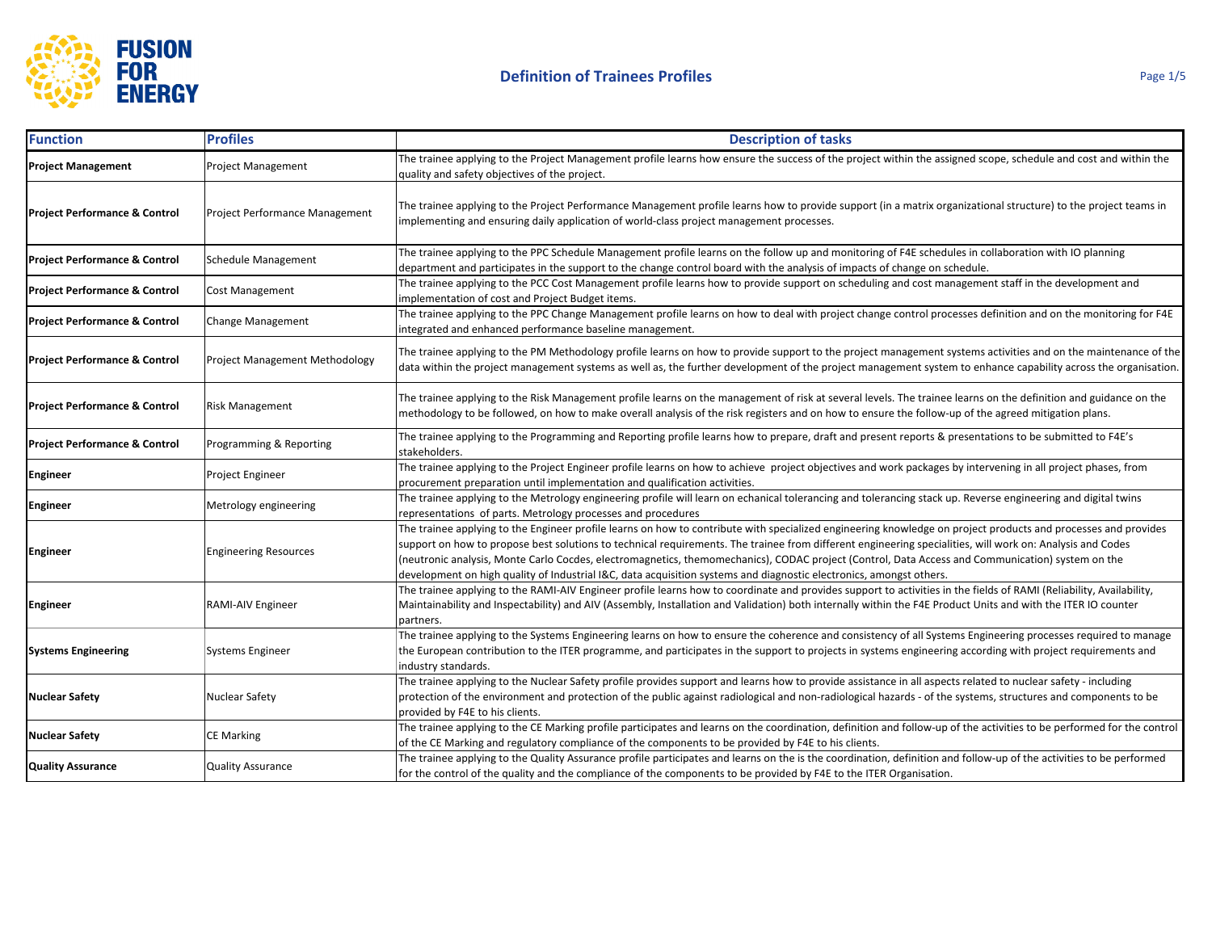

| <b>Function</b>                          | <b>Profiles</b>                | <b>Description of tasks</b>                                                                                                                                                                                                                                                                                                                                                                                                                                                                                                                                                                            |
|------------------------------------------|--------------------------------|--------------------------------------------------------------------------------------------------------------------------------------------------------------------------------------------------------------------------------------------------------------------------------------------------------------------------------------------------------------------------------------------------------------------------------------------------------------------------------------------------------------------------------------------------------------------------------------------------------|
| <b>Project Management</b>                | Project Management             | The trainee applying to the Project Management profile learns how ensure the success of the project within the assigned scope, schedule and cost and within the<br>quality and safety objectives of the project.                                                                                                                                                                                                                                                                                                                                                                                       |
| <b>Project Performance &amp; Control</b> | Project Performance Management | The trainee applying to the Project Performance Management profile learns how to provide support (in a matrix organizational structure) to the project teams in<br>implementing and ensuring daily application of world-class project management processes.                                                                                                                                                                                                                                                                                                                                            |
| <b>Project Performance &amp; Control</b> | <b>Schedule Management</b>     | The trainee applying to the PPC Schedule Management profile learns on the follow up and monitoring of F4E schedules in collaboration with IO planning<br>department and participates in the support to the change control board with the analysis of impacts of change on schedule.                                                                                                                                                                                                                                                                                                                    |
| <b>Project Performance &amp; Control</b> | Cost Management                | The trainee applying to the PCC Cost Management profile learns how to provide support on scheduling and cost management staff in the development and<br>implementation of cost and Project Budget items.                                                                                                                                                                                                                                                                                                                                                                                               |
| Project Performance & Control            | <b>Change Management</b>       | The trainee applying to the PPC Change Management profile learns on how to deal with project change control processes definition and on the monitoring for F4E<br>integrated and enhanced performance baseline management.                                                                                                                                                                                                                                                                                                                                                                             |
| <b>Project Performance &amp; Control</b> | Project Management Methodology | The trainee applying to the PM Methodology profile learns on how to provide support to the project management systems activities and on the maintenance of the<br>data within the project management systems as well as, the further development of the project management system to enhance capability across the organisation.                                                                                                                                                                                                                                                                       |
| <b>Project Performance &amp; Control</b> | Risk Management                | The trainee applying to the Risk Management profile learns on the management of risk at several levels. The trainee learns on the definition and guidance on the<br>methodology to be followed, on how to make overall analysis of the risk registers and on how to ensure the follow-up of the agreed mitigation plans.                                                                                                                                                                                                                                                                               |
| <b>Project Performance &amp; Control</b> | Programming & Reporting        | The trainee applying to the Programming and Reporting profile learns how to prepare, draft and present reports & presentations to be submitted to F4E's<br>stakeholders.                                                                                                                                                                                                                                                                                                                                                                                                                               |
| <b>Engineer</b>                          | Project Engineer               | The trainee applying to the Project Engineer profile learns on how to achieve project objectives and work packages by intervening in all project phases, from<br>procurement preparation until implementation and qualification activities.                                                                                                                                                                                                                                                                                                                                                            |
| <b>Engineer</b>                          | Metrology engineering          | The trainee applying to the Metrology engineering profile will learn on echanical tolerancing and tolerancing stack up. Reverse engineering and digital twins<br>representations of parts. Metrology processes and procedures                                                                                                                                                                                                                                                                                                                                                                          |
| Engineer                                 | <b>Engineering Resources</b>   | The trainee applying to the Engineer profile learns on how to contribute with specialized engineering knowledge on project products and processes and provides<br>support on how to propose best solutions to technical requirements. The trainee from different engineering specialities, will work on: Analysis and Codes<br>(neutronic analysis, Monte Carlo Cocdes, electromagnetics, themomechanics), CODAC project (Control, Data Access and Communication) system on the<br>development on high quality of Industrial I&C, data acquisition systems and diagnostic electronics, amongst others. |
| <b>Engineer</b>                          | RAMI-AIV Engineer              | The trainee applying to the RAMI-AIV Engineer profile learns how to coordinate and provides support to activities in the fields of RAMI (Reliability, Availability,<br>Maintainability and Inspectability) and AIV (Assembly, Installation and Validation) both internally within the F4E Product Units and with the ITER IO counter<br>partners.                                                                                                                                                                                                                                                      |
| <b>Systems Engineering</b>               | Systems Engineer               | The trainee applying to the Systems Engineering learns on how to ensure the coherence and consistency of all Systems Engineering processes required to manage<br>the European contribution to the ITER programme, and participates in the support to projects in systems engineering according with project requirements and<br>industry standards.                                                                                                                                                                                                                                                    |
| <b>Nuclear Safety</b>                    | Nuclear Safety                 | The trainee applying to the Nuclear Safety profile provides support and learns how to provide assistance in all aspects related to nuclear safety - including<br>protection of the environment and protection of the public against radiological and non-radiological hazards - of the systems, structures and components to be<br>provided by F4E to his clients.                                                                                                                                                                                                                                     |
| <b>Nuclear Safety</b>                    | <b>CE Marking</b>              | The trainee applying to the CE Marking profile participates and learns on the coordination, definition and follow-up of the activities to be performed for the control<br>of the CE Marking and regulatory compliance of the components to be provided by F4E to his clients.                                                                                                                                                                                                                                                                                                                          |
| <b>Quality Assurance</b>                 | <b>Quality Assurance</b>       | The trainee applying to the Quality Assurance profile participates and learns on the is the coordination, definition and follow-up of the activities to be performed<br>for the control of the quality and the compliance of the components to be provided by F4E to the ITER Organisation.                                                                                                                                                                                                                                                                                                            |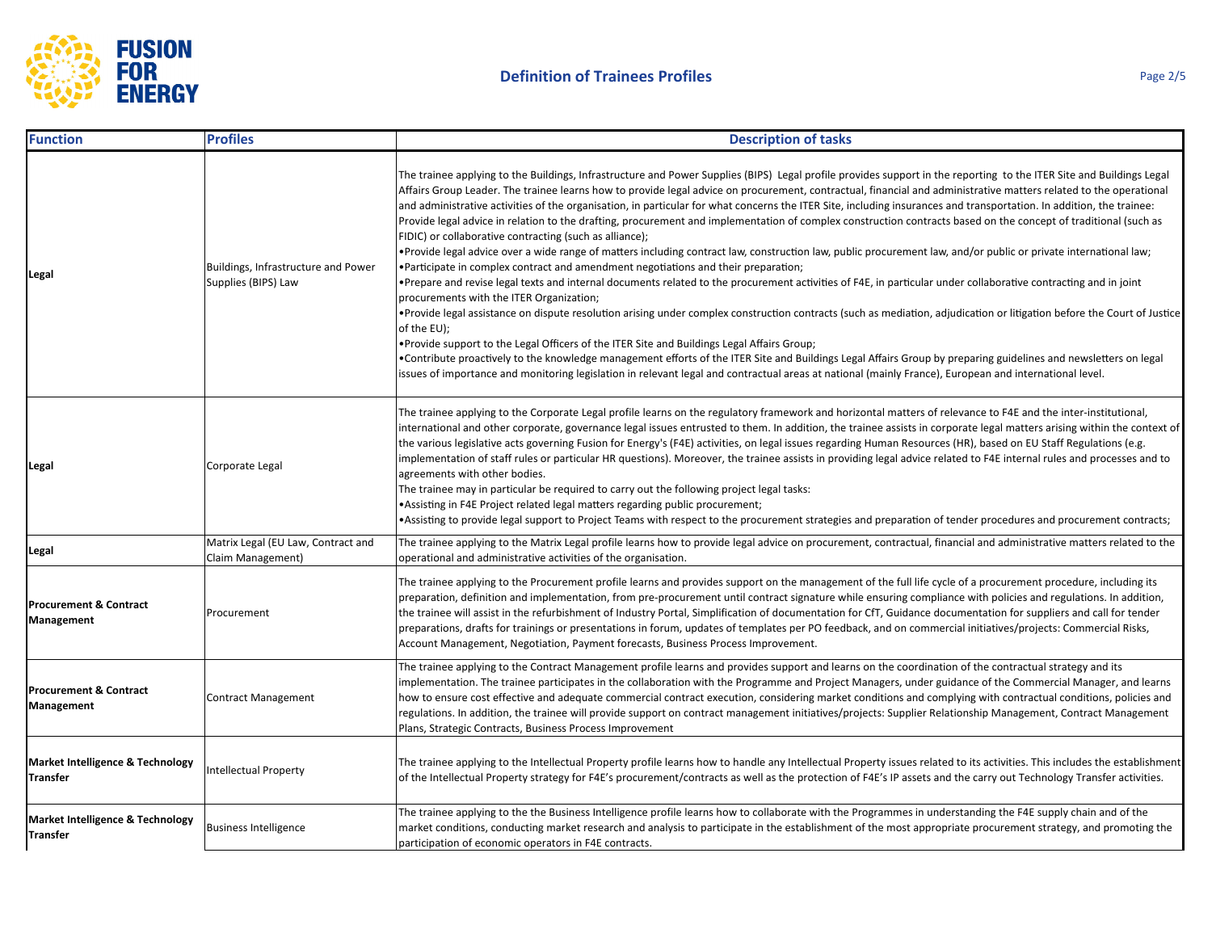

| <b>Function</b>                                 | <b>Profiles</b>                                            | <b>Description of tasks</b>                                                                                                                                                                                                                                                                                                                                                                                                                                                                                                                                                                                                                                                                                                                                                                                                                                                                                                                                                                                                                                                                                                                                                                                                                                                                                                                                                                                                                                                                                                                                                                                                                                                                                                                                                                                                                       |
|-------------------------------------------------|------------------------------------------------------------|---------------------------------------------------------------------------------------------------------------------------------------------------------------------------------------------------------------------------------------------------------------------------------------------------------------------------------------------------------------------------------------------------------------------------------------------------------------------------------------------------------------------------------------------------------------------------------------------------------------------------------------------------------------------------------------------------------------------------------------------------------------------------------------------------------------------------------------------------------------------------------------------------------------------------------------------------------------------------------------------------------------------------------------------------------------------------------------------------------------------------------------------------------------------------------------------------------------------------------------------------------------------------------------------------------------------------------------------------------------------------------------------------------------------------------------------------------------------------------------------------------------------------------------------------------------------------------------------------------------------------------------------------------------------------------------------------------------------------------------------------------------------------------------------------------------------------------------------------|
| Legal                                           | Buildings, Infrastructure and Power<br>Supplies (BIPS) Law | The trainee applying to the Buildings, Infrastructure and Power Supplies (BIPS) Legal profile provides support in the reporting to the ITER Site and Buildings Legal<br>Affairs Group Leader. The trainee learns how to provide legal advice on procurement, contractual, financial and administrative matters related to the operational<br>and administrative activities of the organisation, in particular for what concerns the ITER Site, including insurances and transportation. In addition, the trainee:<br>Provide legal advice in relation to the drafting, procurement and implementation of complex construction contracts based on the concept of traditional (such as<br>FIDIC) or collaborative contracting (such as alliance);<br>. Provide legal advice over a wide range of matters including contract law, construction law, public procurement law, and/or public or private international law;<br>• Participate in complex contract and amendment negotiations and their preparation;<br>•Prepare and revise legal texts and internal documents related to the procurement activities of F4E, in particular under collaborative contracting and in joint<br>procurements with the ITER Organization;<br>. Provide legal assistance on dispute resolution arising under complex construction contracts (such as mediation, adjudication or litigation before the Court of Justice<br>of the EU);<br>• Provide support to the Legal Officers of the ITER Site and Buildings Legal Affairs Group;<br>•Contribute proactively to the knowledge management efforts of the ITER Site and Buildings Legal Affairs Group by preparing guidelines and newsletters on legal<br>issues of importance and monitoring legislation in relevant legal and contractual areas at national (mainly France), European and international level. |
| Legal                                           | Corporate Legal                                            | The trainee applying to the Corporate Legal profile learns on the regulatory framework and horizontal matters of relevance to F4E and the inter-institutional,<br>international and other corporate, governance legal issues entrusted to them. In addition, the trainee assists in corporate legal matters arising within the context of<br>the various legislative acts governing Fusion for Energy's (F4E) activities, on legal issues regarding Human Resources (HR), based on EU Staff Regulations (e.g.<br>implementation of staff rules or particular HR questions). Moreover, the trainee assists in providing legal advice related to F4E internal rules and processes and to<br>agreements with other bodies.<br>The trainee may in particular be required to carry out the following project legal tasks:<br>. Assisting in F4E Project related legal matters regarding public procurement;<br>•Assisting to provide legal support to Project Teams with respect to the procurement strategies and preparation of tender procedures and procurement contracts;                                                                                                                                                                                                                                                                                                                                                                                                                                                                                                                                                                                                                                                                                                                                                                         |
| Legal                                           | Matrix Legal (EU Law, Contract and<br>Claim Management)    | The trainee applying to the Matrix Legal profile learns how to provide legal advice on procurement, contractual, financial and administrative matters related to the<br>operational and administrative activities of the organisation.                                                                                                                                                                                                                                                                                                                                                                                                                                                                                                                                                                                                                                                                                                                                                                                                                                                                                                                                                                                                                                                                                                                                                                                                                                                                                                                                                                                                                                                                                                                                                                                                            |
| <b>Procurement &amp; Contract</b><br>Management | Procurement                                                | The trainee applying to the Procurement profile learns and provides support on the management of the full life cycle of a procurement procedure, including its<br>preparation, definition and implementation, from pre-procurement until contract signature while ensuring compliance with policies and regulations. In addition,<br>the trainee will assist in the refurbishment of Industry Portal, Simplification of documentation for CfT, Guidance documentation for suppliers and call for tender<br>preparations, drafts for trainings or presentations in forum, updates of templates per PO feedback, and on commercial initiatives/projects: Commercial Risks,<br>Account Management, Negotiation, Payment forecasts, Business Process Improvement.                                                                                                                                                                                                                                                                                                                                                                                                                                                                                                                                                                                                                                                                                                                                                                                                                                                                                                                                                                                                                                                                                     |
| <b>Procurement &amp; Contract</b><br>Management | <b>Contract Management</b>                                 | The trainee applying to the Contract Management profile learns and provides support and learns on the coordination of the contractual strategy and its<br>implementation. The trainee participates in the collaboration with the Programme and Project Managers, under guidance of the Commercial Manager, and learns<br>how to ensure cost effective and adequate commercial contract execution, considering market conditions and complying with contractual conditions, policies and<br>regulations. In addition, the trainee will provide support on contract management initiatives/projects: Supplier Relationship Management, Contract Management<br>Plans, Strategic Contracts, Business Process Improvement                                                                                                                                                                                                                                                                                                                                                                                                                                                                                                                                                                                                                                                                                                                                                                                                                                                                                                                                                                                                                                                                                                                              |
| Market Intelligence & Technology<br>Transfer    | <b>Intellectual Property</b>                               | The trainee applying to the Intellectual Property profile learns how to handle any Intellectual Property issues related to its activities. This includes the establishment<br>of the Intellectual Property strategy for F4E's procurement/contracts as well as the protection of F4E's IP assets and the carry out Technology Transfer activities.                                                                                                                                                                                                                                                                                                                                                                                                                                                                                                                                                                                                                                                                                                                                                                                                                                                                                                                                                                                                                                                                                                                                                                                                                                                                                                                                                                                                                                                                                                |
| Market Intelligence & Technology<br>Transfer    | <b>Business Intelligence</b>                               | The trainee applying to the the Business Intelligence profile learns how to collaborate with the Programmes in understanding the F4E supply chain and of the<br>market conditions, conducting market research and analysis to participate in the establishment of the most appropriate procurement strategy, and promoting the<br>participation of economic operators in F4E contracts.                                                                                                                                                                                                                                                                                                                                                                                                                                                                                                                                                                                                                                                                                                                                                                                                                                                                                                                                                                                                                                                                                                                                                                                                                                                                                                                                                                                                                                                           |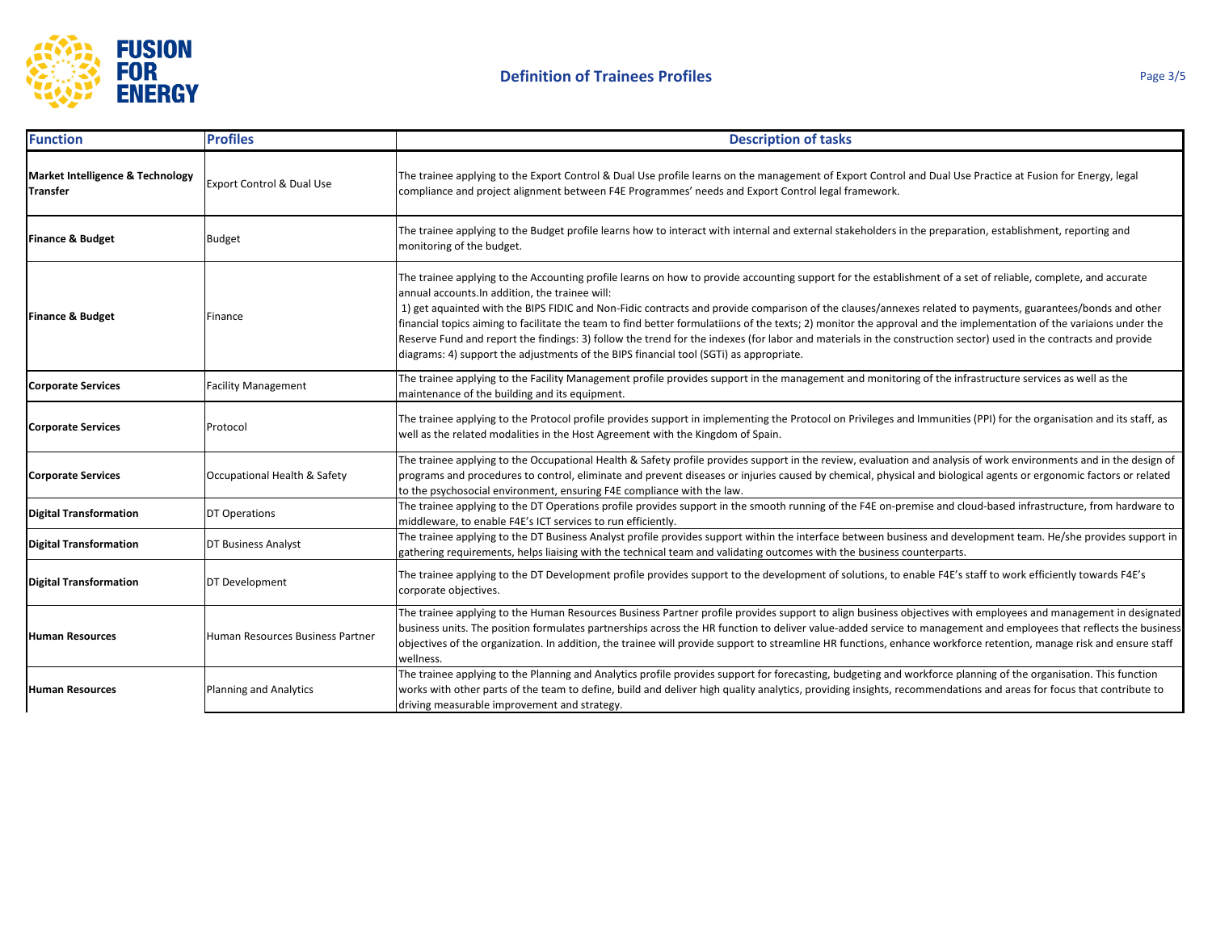

| <b>Function</b>                              | <b>Profiles</b>                      | <b>Description of tasks</b>                                                                                                                                                                                                                                                                                                                                                                                                                                                                                                                                                                                                                                                                                                                                                                                         |
|----------------------------------------------|--------------------------------------|---------------------------------------------------------------------------------------------------------------------------------------------------------------------------------------------------------------------------------------------------------------------------------------------------------------------------------------------------------------------------------------------------------------------------------------------------------------------------------------------------------------------------------------------------------------------------------------------------------------------------------------------------------------------------------------------------------------------------------------------------------------------------------------------------------------------|
| Market Intelligence & Technology<br>Transfer | <b>Export Control &amp; Dual Use</b> | The trainee applying to the Export Control & Dual Use profile learns on the management of Export Control and Dual Use Practice at Fusion for Energy, legal<br>compliance and project alignment between F4E Programmes' needs and Export Control legal framework.                                                                                                                                                                                                                                                                                                                                                                                                                                                                                                                                                    |
| <b>Finance &amp; Budget</b>                  | <b>Budget</b>                        | The trainee applying to the Budget profile learns how to interact with internal and external stakeholders in the preparation, establishment, reporting and<br>monitoring of the budget.                                                                                                                                                                                                                                                                                                                                                                                                                                                                                                                                                                                                                             |
| <b>Finance &amp; Budget</b>                  | Finance                              | The trainee applying to the Accounting profile learns on how to provide accounting support for the establishment of a set of reliable, complete, and accurate<br>annual accounts. In addition, the trainee will:<br>1) get aquainted with the BIPS FIDIC and Non-Fidic contracts and provide comparison of the clauses/annexes related to payments, guarantees/bonds and other<br>financial topics aiming to facilitate the team to find better formulatiions of the texts; 2) monitor the approval and the implementation of the variaions under the<br>Reserve Fund and report the findings: 3) follow the trend for the indexes (for labor and materials in the construction sector) used in the contracts and provide<br>diagrams: 4) support the adjustments of the BIPS financial tool (SGTi) as appropriate. |
| <b>Corporate Services</b>                    | <b>Facility Management</b>           | The trainee applying to the Facility Management profile provides support in the management and monitoring of the infrastructure services as well as the<br>maintenance of the building and its equipment.                                                                                                                                                                                                                                                                                                                                                                                                                                                                                                                                                                                                           |
| <b>Corporate Services</b>                    | Protocol                             | The trainee applying to the Protocol profile provides support in implementing the Protocol on Privileges and Immunities (PPI) for the organisation and its staff, as<br>well as the related modalities in the Host Agreement with the Kingdom of Spain.                                                                                                                                                                                                                                                                                                                                                                                                                                                                                                                                                             |
| <b>Corporate Services</b>                    | Occupational Health & Safety         | The trainee applying to the Occupational Health & Safety profile provides support in the review, evaluation and analysis of work environments and in the design of<br>programs and procedures to control, eliminate and prevent diseases or injuries caused by chemical, physical and biological agents or ergonomic factors or related<br>to the psychosocial environment, ensuring F4E compliance with the law.                                                                                                                                                                                                                                                                                                                                                                                                   |
| <b>Digital Transformation</b>                | DT Operations                        | The trainee applying to the DT Operations profile provides support in the smooth running of the F4E on-premise and cloud-based infrastructure, from hardware to<br>middleware, to enable F4E's ICT services to run efficiently.                                                                                                                                                                                                                                                                                                                                                                                                                                                                                                                                                                                     |
| <b>Digital Transformation</b>                | DT Business Analyst                  | The trainee applying to the DT Business Analyst profile provides support within the interface between business and development team. He/she provides support in<br>gathering requirements, helps liaising with the technical team and validating outcomes with the business counterparts.                                                                                                                                                                                                                                                                                                                                                                                                                                                                                                                           |
| <b>Digital Transformation</b>                | DT Development                       | The trainee applying to the DT Development profile provides support to the development of solutions, to enable F4E's staff to work efficiently towards F4E's<br>corporate objectives.                                                                                                                                                                                                                                                                                                                                                                                                                                                                                                                                                                                                                               |
| <b>Human Resources</b>                       | Human Resources Business Partner     | The trainee applying to the Human Resources Business Partner profile provides support to align business objectives with employees and management in designated<br>business units. The position formulates partnerships across the HR function to deliver value-added service to management and employees that reflects the business<br>objectives of the organization. In addition, the trainee will provide support to streamline HR functions, enhance workforce retention, manage risk and ensure staff<br>wellness.                                                                                                                                                                                                                                                                                             |
| <b>Human Resources</b>                       | <b>Planning and Analytics</b>        | The trainee applying to the Planning and Analytics profile provides support for forecasting, budgeting and workforce planning of the organisation. This function<br>works with other parts of the team to define, build and deliver high quality analytics, providing insights, recommendations and areas for focus that contribute to<br>driving measurable improvement and strategy.                                                                                                                                                                                                                                                                                                                                                                                                                              |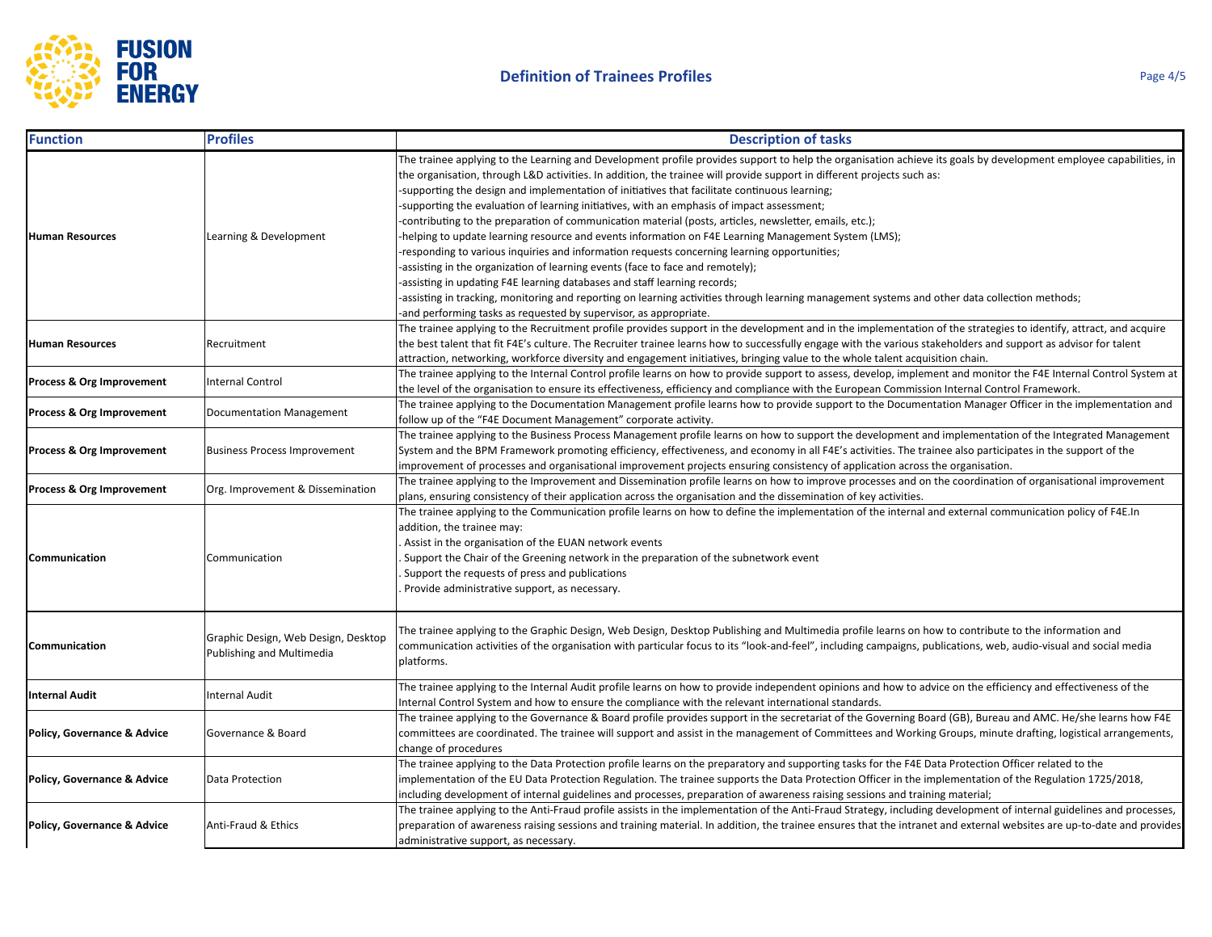

| <b>Function</b>             | <b>Profiles</b>                                                  | <b>Description of tasks</b>                                                                                                                                                                                                                                                                                                                                                                                                                                                                                                                                                                                                                                                                                                                                                                                                                                                                                                                                                                                                                                                                                                                                                                        |
|-----------------------------|------------------------------------------------------------------|----------------------------------------------------------------------------------------------------------------------------------------------------------------------------------------------------------------------------------------------------------------------------------------------------------------------------------------------------------------------------------------------------------------------------------------------------------------------------------------------------------------------------------------------------------------------------------------------------------------------------------------------------------------------------------------------------------------------------------------------------------------------------------------------------------------------------------------------------------------------------------------------------------------------------------------------------------------------------------------------------------------------------------------------------------------------------------------------------------------------------------------------------------------------------------------------------|
| <b>Human Resources</b>      | Learning & Development                                           | The trainee applying to the Learning and Development profile provides support to help the organisation achieve its goals by development employee capabilities, in<br>the organisation, through L&D activities. In addition, the trainee will provide support in different projects such as:<br>-supporting the design and implementation of initiatives that facilitate continuous learning;<br>-supporting the evaluation of learning initiatives, with an emphasis of impact assessment;<br>-contributing to the preparation of communication material (posts, articles, newsletter, emails, etc.);<br>helping to update learning resource and events information on F4E Learning Management System (LMS);<br>-responding to various inquiries and information requests concerning learning opportunities;<br>-assisting in the organization of learning events (face to face and remotely);<br>-assisting in updating F4E learning databases and staff learning records;<br>-assisting in tracking, monitoring and reporting on learning activities through learning management systems and other data collection methods;<br>-and performing tasks as requested by supervisor, as appropriate. |
| <b>Human Resources</b>      | Recruitment                                                      | The trainee applying to the Recruitment profile provides support in the development and in the implementation of the strategies to identify, attract, and acquire<br>the best talent that fit F4E's culture. The Recruiter trainee learns how to successfully engage with the various stakeholders and support as advisor for talent<br>attraction, networking, workforce diversity and engagement initiatives, bringing value to the whole talent acquisition chain.                                                                                                                                                                                                                                                                                                                                                                                                                                                                                                                                                                                                                                                                                                                              |
| Process & Org Improvement   | Internal Control                                                 | The trainee applying to the Internal Control profile learns on how to provide support to assess, develop, implement and monitor the F4E Internal Control System at<br>the level of the organisation to ensure its effectiveness, efficiency and compliance with the European Commission Internal Control Framework.                                                                                                                                                                                                                                                                                                                                                                                                                                                                                                                                                                                                                                                                                                                                                                                                                                                                                |
| Process & Org Improvement   | Documentation Management                                         | The trainee applying to the Documentation Management profile learns how to provide support to the Documentation Manager Officer in the implementation and<br>follow up of the "F4E Document Management" corporate activity.                                                                                                                                                                                                                                                                                                                                                                                                                                                                                                                                                                                                                                                                                                                                                                                                                                                                                                                                                                        |
| Process & Org Improvement   | <b>Business Process Improvement</b>                              | The trainee applying to the Business Process Management profile learns on how to support the development and implementation of the Integrated Management<br>System and the BPM Framework promoting efficiency, effectiveness, and economy in all F4E's activities. The trainee also participates in the support of the<br>improvement of processes and organisational improvement projects ensuring consistency of application across the organisation.                                                                                                                                                                                                                                                                                                                                                                                                                                                                                                                                                                                                                                                                                                                                            |
| Process & Org Improvement   | Org. Improvement & Dissemination                                 | The trainee applying to the Improvement and Dissemination profile learns on how to improve processes and on the coordination of organisational improvement<br>plans, ensuring consistency of their application across the organisation and the dissemination of key activities.                                                                                                                                                                                                                                                                                                                                                                                                                                                                                                                                                                                                                                                                                                                                                                                                                                                                                                                    |
| Communication               | Communication                                                    | The trainee applying to the Communication profile learns on how to define the implementation of the internal and external communication policy of F4E.In<br>addition, the trainee may:<br>Assist in the organisation of the EUAN network events<br>Support the Chair of the Greening network in the preparation of the subnetwork event<br>Support the requests of press and publications<br>Provide administrative support, as necessary.                                                                                                                                                                                                                                                                                                                                                                                                                                                                                                                                                                                                                                                                                                                                                         |
| Communication               | Graphic Design, Web Design, Desktop<br>Publishing and Multimedia | The trainee applying to the Graphic Design, Web Design, Desktop Publishing and Multimedia profile learns on how to contribute to the information and<br>communication activities of the organisation with particular focus to its "look-and-feel", including campaigns, publications, web, audio-visual and social media<br>platforms.                                                                                                                                                                                                                                                                                                                                                                                                                                                                                                                                                                                                                                                                                                                                                                                                                                                             |
| <b>Internal Audit</b>       | <b>Internal Audit</b>                                            | The trainee applying to the Internal Audit profile learns on how to provide independent opinions and how to advice on the efficiency and effectiveness of the<br>Internal Control System and how to ensure the compliance with the relevant international standards.                                                                                                                                                                                                                                                                                                                                                                                                                                                                                                                                                                                                                                                                                                                                                                                                                                                                                                                               |
| Policy, Governance & Advice | Governance & Board                                               | The trainee applying to the Governance & Board profile provides support in the secretariat of the Governing Board (GB), Bureau and AMC. He/she learns how F4E<br>committees are coordinated. The trainee will support and assist in the management of Committees and Working Groups, minute drafting, logistical arrangements,<br>change of procedures                                                                                                                                                                                                                                                                                                                                                                                                                                                                                                                                                                                                                                                                                                                                                                                                                                             |
| Policy, Governance & Advice | Data Protection                                                  | The trainee applying to the Data Protection profile learns on the preparatory and supporting tasks for the F4E Data Protection Officer related to the<br>implementation of the EU Data Protection Regulation. The trainee supports the Data Protection Officer in the implementation of the Regulation 1725/2018,<br>including development of internal guidelines and processes, preparation of awareness raising sessions and training material;                                                                                                                                                                                                                                                                                                                                                                                                                                                                                                                                                                                                                                                                                                                                                  |
| Policy, Governance & Advice | Anti-Fraud & Ethics                                              | The trainee applying to the Anti-Fraud profile assists in the implementation of the Anti-Fraud Strategy, including development of internal guidelines and processes,<br>preparation of awareness raising sessions and training material. In addition, the trainee ensures that the intranet and external websites are up-to-date and provides<br>administrative support, as necessary.                                                                                                                                                                                                                                                                                                                                                                                                                                                                                                                                                                                                                                                                                                                                                                                                             |